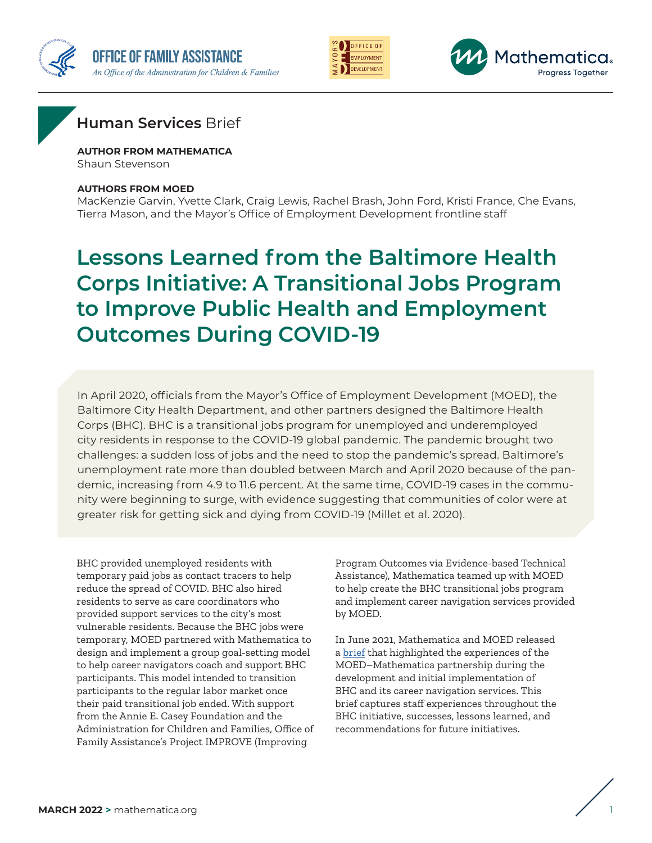





### **Human Services** Brief

**AUTHOR FROM MATHEMATICA** Shaun Stevenson

#### **AUTHORS FROM MOED**

MacKenzie Garvin, Yvette Clark, Craig Lewis, Rachel Brash, John Ford, Kristi France, Che Evans, Tierra Mason, and the Mayor's Office of Employment Development frontline staff

# **Lessons Learned from the Baltimore Health Corps Initiative: A Transitional Jobs Program to Improve Public Health and Employment Outcomes During COVID-19**

In April 2020, officials from the Mayor's Office of Employment Development (MOED), the Baltimore City Health Department, and other partners designed the Baltimore Health Corps (BHC). BHC is a transitional jobs program for unemployed and underemployed city residents in response to the COVID-19 global pandemic. The pandemic brought two challenges: a sudden loss of jobs and the need to stop the pandemic's spread. Baltimore's unemployment rate more than doubled between March and April 2020 because of the pandemic, increasing from 4.9 to 11.6 percent. At the same time, COVID-19 cases in the community were beginning to surge, with evidence suggesting that communities of color were at greater risk for getting sick and dying from COVID-19 (Millet et al. 2020).

BHC provided unemployed residents with temporary paid jobs as contact tracers to help reduce the spread of COVID. BHC also hired residents to serve as care coordinators who provided support services to the city's most vulnerable residents. Because the BHC jobs were temporary, MOED partnered with Mathematica to design and implement a group goal-setting model to help career navigators coach and support BHC participants. This model intended to transition participants to the regular labor market once their paid transitional job ended. With support from the Annie E. Casey Foundation and the Administration for Children and Families, Office of Family Assistance's Project IMPROVE (Improving

Program Outcomes via Evidence-based Technical Assistance), Mathematica teamed up with MOED to help create the BHC transitional jobs program and implement career navigation services provided by MOED.

In June 2021, Mathematica and MOED released a [brief](https://www.mathematica.org/publications/baltimore-health-corps-initiative-a-transitional-jobs-program-to-improve-public-health) that highlighted the experiences of the MOED–Mathematica partnership during the development and initial implementation of BHC and its career navigation services. This brief captures staff experiences throughout the BHC initiative, successes, lessons learned, and recommendations for future initiatives.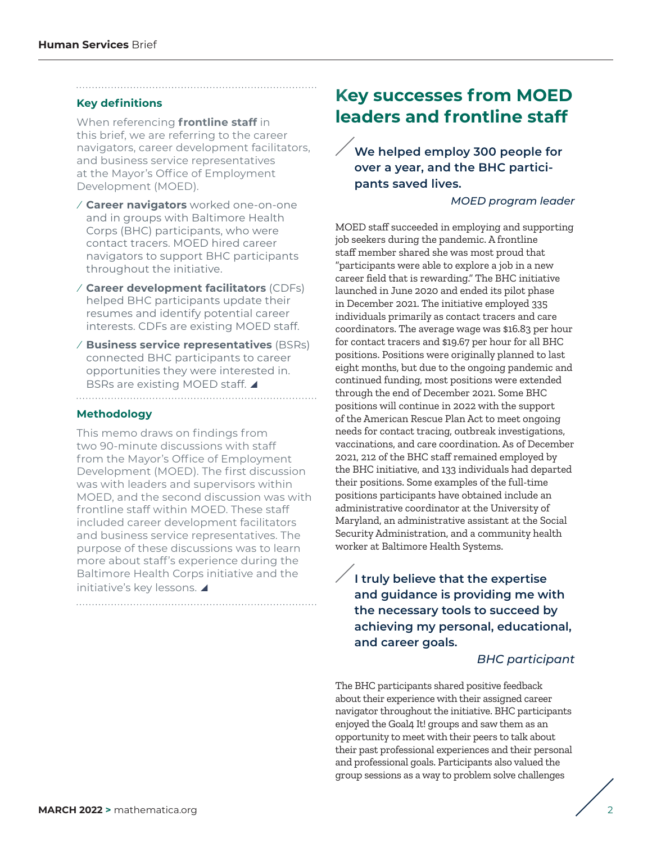#### **Key definitions**

When referencing **frontline staff** in this brief, we are referring to the career navigators, career development facilitators, and business service representatives at the Mayor's Office of Employment Development (MOED).

- ⁄ **Career navigators** worked one-on-one and in groups with Baltimore Health Corps (BHC) participants, who were contact tracers. MOED hired career navigators to support BHC participants throughout the initiative.
- ⁄ **Career development facilitators** (CDFs) helped BHC participants update their resumes and identify potential career interests. CDFs are existing MOED staff.
- ⁄ **Business service representatives** (BSRs) connected BHC participants to career opportunities they were interested in. BSRs are existing MOED staff.

#### **Methodology**

This memo draws on findings from two 90-minute discussions with staff from the Mayor's Office of Employment Development (MOED). The first discussion was with leaders and supervisors within MOED, and the second discussion was with frontline staff within MOED. These staff included career development facilitators and business service representatives. The purpose of these discussions was to learn more about staff's experience during the Baltimore Health Corps initiative and the initiative's key lessons.

## **Key successes from MOED leaders and frontline staff**

**We helped employ 300 people for over a year, and the BHC participants saved lives.**

#### *MOED program leader*

MOED staff succeeded in employing and supporting job seekers during the pandemic. A frontline staff member shared she was most proud that "participants were able to explore a job in a new career field that is rewarding." The BHC initiative launched in June 2020 and ended its pilot phase in December 2021. The initiative employed 335 individuals primarily as contact tracers and care coordinators. The average wage was \$16.83 per hour for contact tracers and \$19.67 per hour for all BHC positions. Positions were originally planned to last eight months, but due to the ongoing pandemic and continued funding, most positions were extended through the end of December 2021. Some BHC positions will continue in 2022 with the support of the American Rescue Plan Act to meet ongoing needs for contact tracing, outbreak investigations, vaccinations, and care coordination. As of December 2021, 212 of the BHC staff remained employed by the BHC initiative, and 133 individuals had departed their positions. Some examples of the full-time positions participants have obtained include an administrative coordinator at the University of Maryland, an administrative assistant at the Social Security Administration, and a community health worker at Baltimore Health Systems.

**I truly believe that the expertise and guidance is providing me with the necessary tools to succeed by achieving my personal, educational, and career goals.**

#### *BHC participant*

The BHC participants shared positive feedback about their experience with their assigned career navigator throughout the initiative. BHC participants enjoyed the Goal4 It! groups and saw them as an opportunity to meet with their peers to talk about their past professional experiences and their personal and professional goals. Participants also valued the group sessions as a way to problem solve challenges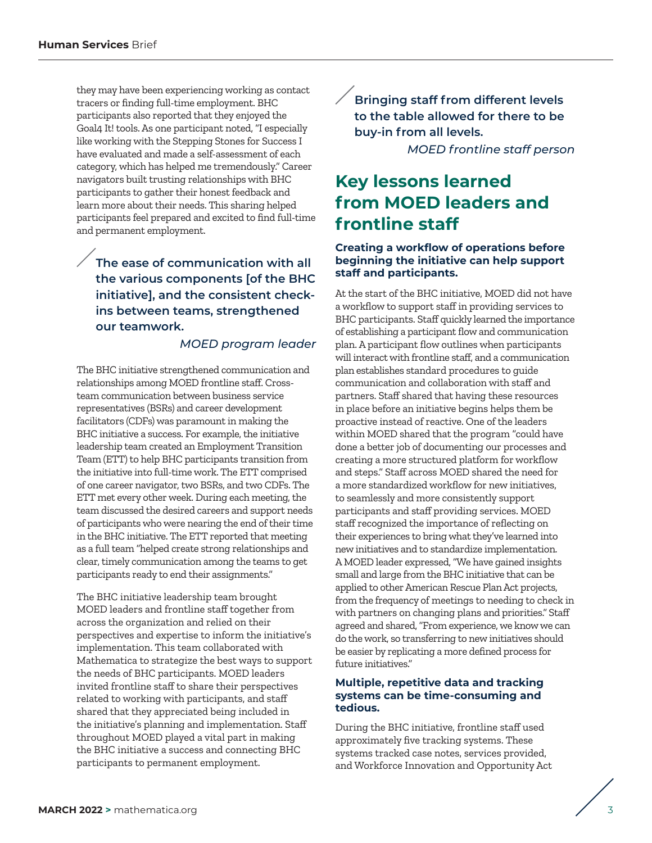they may have been experiencing working as contact tracers or finding full-time employment. BHC participants also reported that they enjoyed the Goal4 It! tools. As one participant noted, "I especially like working with the Stepping Stones for Success I have evaluated and made a self-assessment of each category, which has helped me tremendously." Career navigators built trusting relationships with BHC participants to gather their honest feedback and learn more about their needs. This sharing helped participants feel prepared and excited to find full-time and permanent employment.

### **The ease of communication with all the various components [of the BHC initiative], and the consistent checkins between teams, strengthened our teamwork.**

#### *MOED program leader*

The BHC initiative strengthened communication and relationships among MOED frontline staff. Crossteam communication between business service representatives (BSRs) and career development facilitators (CDFs) was paramount in making the BHC initiative a success. For example, the initiative leadership team created an Employment Transition Team (ETT) to help BHC participants transition from the initiative into full-time work. The ETT comprised of one career navigator, two BSRs, and two CDFs. The ETT met every other week. During each meeting, the team discussed the desired careers and support needs of participants who were nearing the end of their time in the BHC initiative. The ETT reported that meeting as a full team "helped create strong relationships and clear, timely communication among the teams to get participants ready to end their assignments."

The BHC initiative leadership team brought MOED leaders and frontline staff together from across the organization and relied on their perspectives and expertise to inform the initiative's implementation. This team collaborated with Mathematica to strategize the best ways to support the needs of BHC participants. MOED leaders invited frontline staff to share their perspectives related to working with participants, and staff shared that they appreciated being included in the initiative's planning and implementation. Staff throughout MOED played a vital part in making the BHC initiative a success and connecting BHC participants to permanent employment.

**Bringing staff from different levels to the table allowed for there to be buy-in from all levels.**

*MOED frontline staff person*

# **Key lessons learned from MOED leaders and frontline staff**

#### **Creating a workflow of operations before beginning the initiative can help support staff and participants.**

At the start of the BHC initiative, MOED did not have a workflow to support staff in providing services to BHC participants. Staff quickly learned the importance of establishing a participant flow and communication plan. A participant flow outlines when participants will interact with frontline staff, and a communication plan establishes standard procedures to guide communication and collaboration with staff and partners. Staff shared that having these resources in place before an initiative begins helps them be proactive instead of reactive. One of the leaders within MOED shared that the program "could have done a better job of documenting our processes and creating a more structured platform for workflow and steps." Staff across MOED shared the need for a more standardized workflow for new initiatives, to seamlessly and more consistently support participants and staff providing services. MOED staff recognized the importance of reflecting on their experiences to bring what they've learned into new initiatives and to standardize implementation. A MOED leader expressed, "We have gained insights small and large from the BHC initiative that can be applied to other American Rescue Plan Act projects, from the frequency of meetings to needing to check in with partners on changing plans and priorities." Staff agreed and shared, "From experience, we know we can do the work, so transferring to new initiatives should be easier by replicating a more defined process for future initiatives."

#### **Multiple, repetitive data and tracking systems can be time-consuming and tedious.**

During the BHC initiative, frontline staff used approximately five tracking systems. These systems tracked case notes, services provided, and Workforce Innovation and Opportunity Act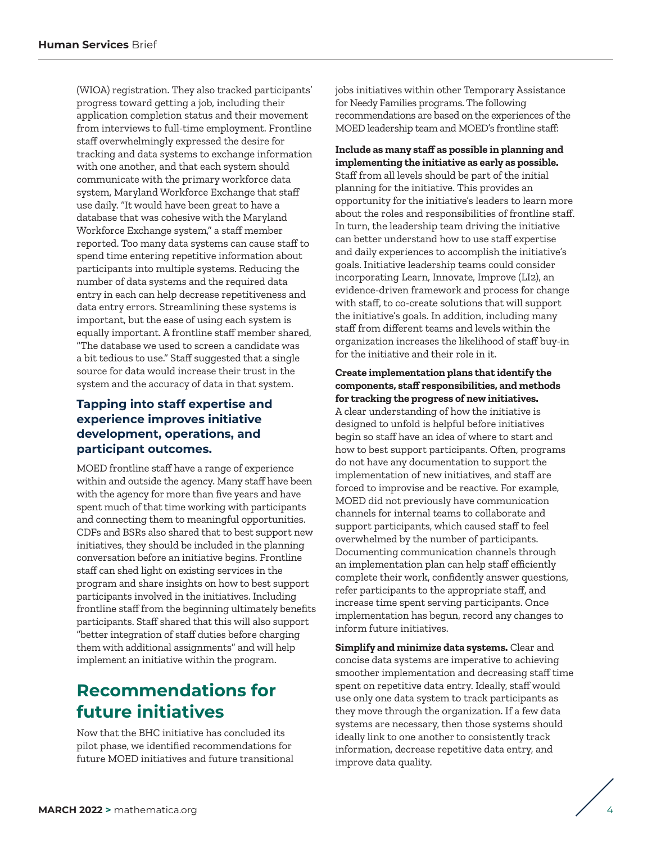(WIOA) registration. They also tracked participants' progress toward getting a job, including their application completion status and their movement from interviews to full-time employment. Frontline staff overwhelmingly expressed the desire for tracking and data systems to exchange information with one another, and that each system should communicate with the primary workforce data system, Maryland Workforce Exchange that staff use daily. "It would have been great to have a database that was cohesive with the Maryland Workforce Exchange system," a staff member reported. Too many data systems can cause staff to spend time entering repetitive information about participants into multiple systems. Reducing the number of data systems and the required data entry in each can help decrease repetitiveness and data entry errors. Streamlining these systems is important, but the ease of using each system is equally important. A frontline staff member shared, "The database we used to screen a candidate was a bit tedious to use." Staff suggested that a single source for data would increase their trust in the system and the accuracy of data in that system.

### **Tapping into staff expertise and experience improves initiative development, operations, and participant outcomes.**

MOED frontline staff have a range of experience within and outside the agency. Many staff have been with the agency for more than five years and have spent much of that time working with participants and connecting them to meaningful opportunities. CDFs and BSRs also shared that to best support new initiatives, they should be included in the planning conversation before an initiative begins. Frontline staff can shed light on existing services in the program and share insights on how to best support participants involved in the initiatives. Including frontline staff from the beginning ultimately benefits participants. Staff shared that this will also support "better integration of staff duties before charging them with additional assignments" and will help implement an initiative within the program.

# **Recommendations for future initiatives**

Now that the BHC initiative has concluded its pilot phase, we identified recommendations for future MOED initiatives and future transitional jobs initiatives within other Temporary Assistance for Needy Families programs. The following recommendations are based on the experiences of the MOED leadership team and MOED's frontline staff:

**Include as many staff as possible in planning and implementing the initiative as early as possible.** Staff from all levels should be part of the initial planning for the initiative. This provides an opportunity for the initiative's leaders to learn more about the roles and responsibilities of frontline staff. In turn, the leadership team driving the initiative can better understand how to use staff expertise and daily experiences to accomplish the initiative's goals. Initiative leadership teams could consider incorporating Learn, Innovate, Improve (LI2), an evidence-driven framework and process for change with staff, to co-create solutions that will support the initiative's goals. In addition, including many staff from different teams and levels within the organization increases the likelihood of staff buy-in for the initiative and their role in it.

#### **Create implementation plans that identify the components, staff responsibilities, and methods for tracking the progress of new initiatives.**

A clear understanding of how the initiative is designed to unfold is helpful before initiatives begin so staff have an idea of where to start and how to best support participants. Often, programs do not have any documentation to support the implementation of new initiatives, and staff are forced to improvise and be reactive. For example, MOED did not previously have communication channels for internal teams to collaborate and support participants, which caused staff to feel overwhelmed by the number of participants. Documenting communication channels through an implementation plan can help staff efficiently complete their work, confidently answer questions, refer participants to the appropriate staff, and increase time spent serving participants. Once implementation has begun, record any changes to inform future initiatives.

**Simplify and minimize data systems.** Clear and concise data systems are imperative to achieving smoother implementation and decreasing staff time spent on repetitive data entry. Ideally, staff would use only one data system to track participants as they move through the organization. If a few data systems are necessary, then those systems should ideally link to one another to consistently track information, decrease repetitive data entry, and improve data quality.